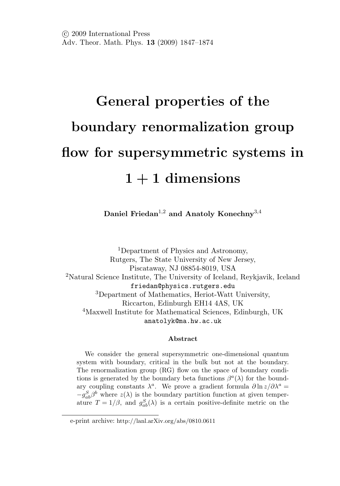# **General properties of the boundary renormalization group flow for supersymmetric systems in 1 + 1 dimensions**

**Daniel Friedan**1,<sup>2</sup> **and Anatoly Konechny**3,<sup>4</sup>

<sup>1</sup>Department of Physics and Astronomy, Rutgers, The State University of New Jersey, Piscataway, NJ 08854-8019, USA <sup>2</sup>Natural Science Institute, The University of Iceland, Reykjavik, Iceland friedan@physics.rutgers.edu <sup>3</sup>Department of Mathematics, Heriot-Watt University, Riccarton, Edinburgh EH14 4AS, UK <sup>4</sup>Maxwell Institute for Mathematical Sciences, Edinburgh, UK anatolyk@ma.hw.ac.uk

#### **Abstract**

We consider the general supersymmetric one-dimensional quantum system with boundary, critical in the bulk but not at the boundary. The renormalization group (RG) flow on the space of boundary conditions is generated by the boundary beta functions  $\beta^{a}(\lambda)$  for the boundary coupling constants  $\lambda^a$ . We prove a gradient formula  $\partial \ln z / \partial \lambda^a =$  $-g_{ab}^S\beta^b$  where  $z(\lambda)$  is the boundary partition function at given temperature  $T = 1/\beta$ , and  $g_{ab}^S(\lambda)$  is a certain positive-definite metric on the

e-print archive: http://lanl.arXiv.org/abs/0810.0611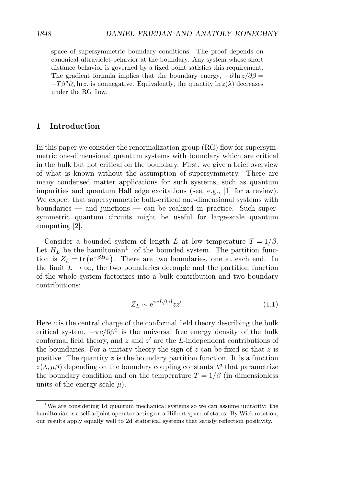space of supersymmetric boundary conditions. The proof depends on canonical ultraviolet behavior at the boundary. Any system whose short distance behavior is governed by a fixed point satisfies this requirement. The gradient formula implies that the boundary energy,  $-\partial \ln z/\partial \beta =$  $-T\beta^a\partial_a \ln z$ , is nonnegative. Equivalently, the quantity  $\ln z(\lambda)$  decreases under the RG flow.

# **1 Introduction**

In this paper we consider the renormalization group (RG) flow for supersymmetric one-dimensional quantum systems with boundary which are critical in the bulk but not critical on the boundary. First, we give a brief overview of what is known without the assumption of supersymmetry. There are many condensed matter applications for such systems, such as quantum impurities and quantum Hall edge excitations (see, e.g., [1] for a review). We expect that supersymmetric bulk-critical one-dimensional systems with boundaries — and junctions — can be realized in practice. Such supersymmetric quantum circuits might be useful for large-scale quantum computing [2].

Consider a bounded system of length L at low temperature  $T = 1/\beta$ . Let  $H_L$  be the hamiltonian<sup>1</sup> of the bounded system. The partition function is  $Z_L = \text{tr} (e^{-\beta H_L})$ . There are two boundaries, one at each end. In the limit  $L \to \infty$ , the two boundaries decouple and the partition function of the whole system factorizes into a bulk contribution and two boundary contributions:

$$
Z_L \sim e^{\pi c L/6\beta}zz'.\tag{1.1}
$$

Here c is the central charge of the conformal field theory describing the bulk critical system,  $-\pi c/6\beta^2$  is the universal free energy density of the bulk conformal field theory, and  $z$  and  $z'$  are the L-independent contributions of the boundaries. For a unitary theory the sign of  $z$  can be fixed so that  $z$  is positive. The quantity  $z$  is the boundary partition function. It is a function  $z(\lambda, \mu\beta)$  depending on the boundary coupling constants  $\lambda^a$  that parametrize the boundary condition and on the temperature  $T = 1/\beta$  (in dimensionless units of the energy scale  $\mu$ ).

<sup>&</sup>lt;sup>1</sup>We are considering 1d quantum mechanical systems so we can assume unitarity: the hamiltonian is a self-adjoint operator acting on a Hilbert space of states. By Wick rotation, our results apply equally well to 2d statistical systems that satisfy reflection positivity.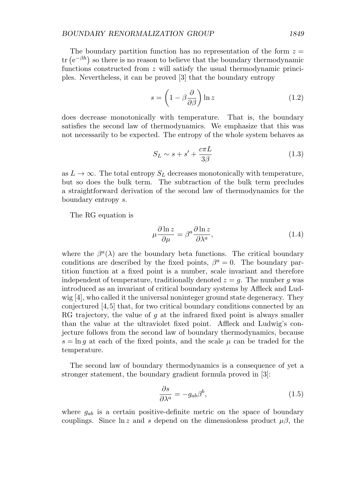#### *BOUNDARY RENORMALIZATION GROUP 1849*

The boundary partition function has no representation of the form  $z =$ tr  $(e^{-\beta h})$  so there is no reason to believe that the boundary thermodynamic functions constructed from  $z$  will satisfy the usual thermodynamic principles. Nevertheless, it can be proved [3] that the boundary entropy

$$
s = \left(1 - \beta \frac{\partial}{\partial \beta}\right) \ln z \tag{1.2}
$$

does decrease monotonically with temperature. That is, the boundary satisfies the second law of thermodynamics. We emphasize that this was not necessarily to be expected. The entropy of the whole system behaves as

$$
S_L \sim s + s' + \frac{c\pi L}{3\beta} \tag{1.3}
$$

as  $L \to \infty$ . The total entropy  $S_L$  decreases monotonically with temperature, but so does the bulk term. The subtraction of the bulk term precludes a straightforward derivation of the second law of thermodynamics for the boundary entropy s.

The RG equation is

$$
\mu \frac{\partial \ln z}{\partial \mu} = \beta^a \frac{\partial \ln z}{\partial \lambda^a},\tag{1.4}
$$

where the  $\beta^{a}(\lambda)$  are the boundary beta functions. The critical boundary conditions are described by the fixed points,  $\beta^a = 0$ . The boundary partition function at a fixed point is a number, scale invariant and therefore independent of temperature, traditionally denoted  $z = g$ . The number g was introduced as an invariant of critical boundary systems by Affleck and Ludwig [4], who called it the universal noninteger ground state degeneracy. They conjectured [4,5] that, for two critical boundary conditions connected by an RG trajectory, the value of  $g$  at the infrared fixed point is always smaller than the value at the ultraviolet fixed point. Affleck and Ludwig's conjecture follows from the second law of boundary thermodynamics, because  $s = \ln q$  at each of the fixed points, and the scale  $\mu$  can be traded for the temperature.

The second law of boundary thermodynamics is a consequence of yet a stronger statement, the boundary gradient formula proved in [3]:

$$
\frac{\partial s}{\partial \lambda^a} = -g_{ab}\beta^b,\tag{1.5}
$$

where  $g_{ab}$  is a certain positive-definite metric on the space of boundary couplings. Since  $\ln z$  and s depend on the dimensionless product  $\mu\beta$ , the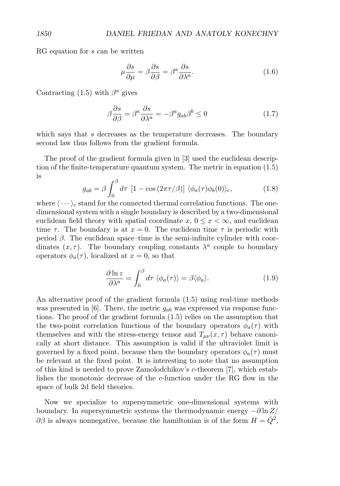RG equation for s can be written

$$
\mu \frac{\partial s}{\partial \mu} = \beta \frac{\partial s}{\partial \beta} = \beta^a \frac{\partial s}{\partial \lambda^a}.
$$
\n(1.6)

Contracting (1.5) with  $\beta^a$  gives

$$
\beta \frac{\partial s}{\partial \beta} = \beta^a \frac{\partial s}{\partial \lambda^a} = -\beta^a g_{ab} \beta^b \le 0 \tag{1.7}
$$

which says that  $s$  decreases as the temperature decreases. The boundary second law thus follows from the gradient formula.

The proof of the gradient formula given in [3] used the euclidean description of the finite-temperature quantum system. The metric in equation (1.5) is

$$
g_{ab} = \beta \int_0^\beta d\tau \, \left[1 - \cos\left(2\pi\tau/\beta\right)\right] \, \langle \phi_a(\tau)\phi_b(0) \rangle_c,\tag{1.8}
$$

where  $\langle \cdots \rangle_c$  stand for the connected thermal correlation functions. The onedimensional system with a single boundary is described by a two-dimensional euclidean field theory with spatial coordinate  $x, 0 \leq x < \infty$ , and euclidean time  $\tau$ . The boundary is at  $x = 0$ . The euclidean time  $\tau$  is periodic with period β. The euclidean space–time is the semi-infinite cylinder with coordinates  $(x, \tau)$ . The boundary coupling constants  $\lambda^a$  couple to boundary operators  $\phi_a(\tau)$ , localized at  $x=0$ , so that

$$
\frac{\partial \ln z}{\partial \lambda^a} = \int_0^\beta d\tau \, \langle \phi_a(\tau) \rangle = \beta \langle \phi_a \rangle. \tag{1.9}
$$

An alternative proof of the gradient formula (1.5) using real-time methods was presented in [6]. There, the metric  $g_{ab}$  was expressed via response functions. The proof of the gradient formula (1.5) relies on the assumption that the two-point correlation functions of the boundary operators  $\phi_a(\tau)$  with themselves and with the stress-energy tensor and  $T_{\mu\nu}(x, \tau)$  behave canonically at short distance. This assumption is valid if the ultraviolet limit is governed by a fixed point, because then the boundary operators  $\phi_a(\tau)$  must be relevant at the fixed point. It is interesting to note that no assumption of this kind is needed to prove Zamolodchikov's c-theorem [7], which establishes the monotonic decrease of the c-function under the RG flow in the space of bulk 2d field theories.

Now we specialize to supersymmetric one-dimensional systems with boundary. In supersymmetric systems the thermodynamic energy  $-\partial \ln Z$  $\partial\beta$  is always nonnegative, because the hamiltonian is of the form  $H = \hat{Q}^2$ ,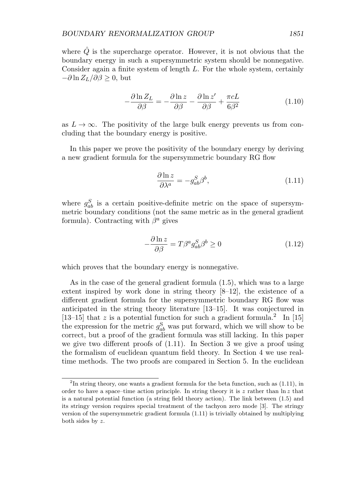where  $\hat{Q}$  is the supercharge operator. However, it is not obvious that the boundary energy in such a supersymmetric system should be nonnegative. Consider again a finite system of length L. For the whole system, certainly  $-\partial \ln Z_L/\partial \beta \geq 0$ , but

$$
-\frac{\partial \ln Z_L}{\partial \beta} = -\frac{\partial \ln z}{\partial \beta} - \frac{\partial \ln z'}{\partial \beta} + \frac{\pi cL}{6\beta^2}
$$
(1.10)

as  $L \to \infty$ . The positivity of the large bulk energy prevents us from concluding that the boundary energy is positive.

In this paper we prove the positivity of the boundary energy by deriving a new gradient formula for the supersymmetric boundary RG flow

$$
\frac{\partial \ln z}{\partial \lambda^a} = -g_{ab}^S \beta^b,\tag{1.11}
$$

where  $g_{ab}^S$  is a certain positive-definite metric on the space of supersymmetric boundary conditions (not the same metric as in the general gradient formula). Contracting with  $\beta^a$  gives

$$
-\frac{\partial \ln z}{\partial \beta} = T\beta^a g_{ab}^S \beta^b \ge 0 \tag{1.12}
$$

which proves that the boundary energy is nonnegative.

As in the case of the general gradient formula (1.5), which was to a large extent inspired by work done in string theory  $[8-12]$ , the existence of a different gradient formula for the supersymmetric boundary RG flow was anticipated in the string theory literature [13–15]. It was conjectured in [13–15] that z is a potential function for such a gradient formula.<sup>2</sup> In [15] the expression for the metric  $g_{ab}^{\rm S}$  was put forward, which we will show to be correct, but a proof of the gradient formula was still lacking. In this paper we give two different proofs of (1.11). In Section 3 we give a proof using the formalism of euclidean quantum field theory. In Section 4 we use realtime methods. The two proofs are compared in Section 5. In the euclidean

 $2$ In string theory, one wants a gradient formula for the beta function, such as  $(1.11)$ , in order to have a space–time action principle. In string theory it is z rather than  $\ln z$  that is a natural potential function (a string field theory action). The link between (1.5) and its stringy version requires special treatment of the tachyon zero mode [3]. The stringy version of the supersymmetric gradient formula (1.11) is trivially obtained by multiplying both sides by z.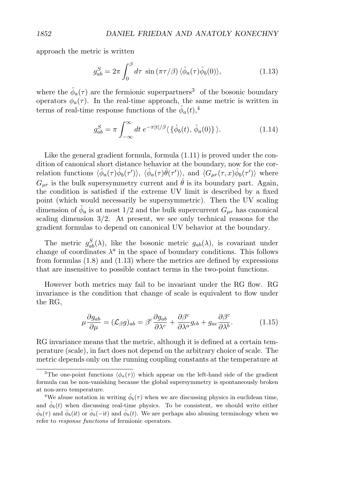approach the metric is written

$$
g_{ab}^S = 2\pi \int_0^\beta d\tau \, \sin\left(\pi \tau/\beta\right) \langle \hat{\phi}_a(\tau) \hat{\phi}_b(0) \rangle, \tag{1.13}
$$

where the  $\hat{\phi}_a(\tau)$  are the fermionic superpartners<sup>3</sup> of the bosonic boundary operators  $\phi_a(\tau)$ . In the real-time approach, the same metric is written in terms of real-time response functions of the  $\hat{\phi}_a(t)$ ,<sup>4</sup>

$$
g_{ab}^S = \pi \int_{-\infty}^{\infty} dt \ e^{-\pi|t|/\beta} \langle \{\hat{\phi}_b(t), \hat{\phi}_a(0)\} \rangle.
$$
 (1.14)

Like the general gradient formula, formula  $(1.11)$  is proved under the condition of canonical short distance behavior at the boundary, now for the correlation functions  $\langle \hat{\phi}_a(\tau) \hat{\phi}_b(\tau') \rangle$ ,  $\langle \hat{\phi}_a(\tau) \hat{\theta}(\tau') \rangle$ , and  $\langle G_{\mu r}(\tau, x) \hat{\phi}_b(\tau') \rangle$  where  $G_{\mu r}$  is the bulk supersymmetry current and  $\hat{\theta}$  is its boundary part. Again, the condition is satisfied if the extreme UV limit is described by a fixed point (which would necessarily be supersymmetric). Then the UV scaling dimension of  $\phi_a$  is at most 1/2 and the bulk supercurrent  $G_{\mu\nu}$  has canonical scaling dimension 3/2. At present, we see only technical reasons for the gradient formulas to depend on canonical UV behavior at the boundary.

The metric  $g_{ab}^S(\lambda)$ , like the bosonic metric  $g_{ab}(\lambda)$ , is covariant under change of coordinates  $\lambda^a$  in the space of boundary conditions. This follows from formulas  $(1.8)$  and  $(1.13)$  where the metrics are defined by expressions that are insensitive to possible contact terms in the two-point functions.

However both metrics may fail to be invariant under the RG flow. RG invariance is the condition that change of scale is equivalent to flow under the RG,

$$
\mu \frac{\partial g_{ab}}{\partial \mu} = (\mathcal{L}_{\beta} g)_{ab} = \beta^c \frac{\partial g_{ab}}{\partial \lambda^c} + \frac{\partial \beta^c}{\partial \lambda^a} g_{cb} + g_{ac} \frac{\partial \beta^c}{\partial \lambda^b}.
$$
(1.15)

RG invariance means that the metric, although it is defined at a certain temperature (scale), in fact does not depend on the arbitrary choice of scale. The metric depends only on the running coupling constants at the temperature at

<sup>&</sup>lt;sup>3</sup>The one-point functions  $\langle \phi_a(\tau) \rangle$  which appear on the left-hand side of the gradient formula can be non-vanishing because the global supersymmetry is spontaneously broken at non-zero temperature.

<sup>&</sup>lt;sup>4</sup>We abuse notation in writing  $\phi_b(\tau)$  when we are discussing physics in euclidean time, and  $\phi_b(t)$  when discussing real-time physics. To be consistent, we should write either  $\hat{\phi}_b(\tau)$  and  $\hat{\phi}_b(it)$  or  $\hat{\phi}_b(-it)$  and  $\hat{\phi}_b(t)$ . We are perhaps also abusing terminology when we refer to response functions of fermionic operators.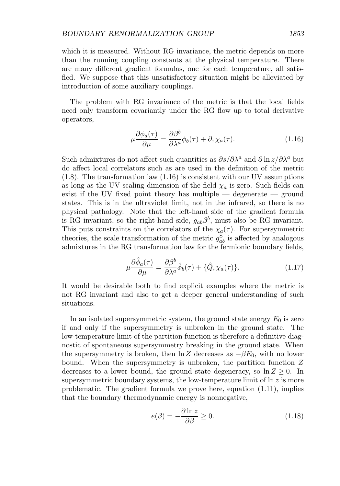which it is measured. Without RG invariance, the metric depends on more than the running coupling constants at the physical temperature. There are many different gradient formulas, one for each temperature, all satisfied. We suppose that this unsatisfactory situation might be alleviated by introduction of some auxiliary couplings.

The problem with RG invariance of the metric is that the local fields need only transform covariantly under the RG flow up to total derivative operators,

$$
\mu \frac{\partial \phi_a(\tau)}{\partial \mu} = \frac{\partial \beta^b}{\partial \lambda^a} \phi_b(\tau) + \partial_\tau \chi_a(\tau). \tag{1.16}
$$

Such admixtures do not affect such quantities as  $\partial s/\partial \lambda^a$  and  $\partial \ln z/\partial \lambda^a$  but do affect local correlators such as are used in the definition of the metric (1.8). The transformation law (1.16) is consistent with our UV assumptions as long as the UV scaling dimension of the field  $\chi_a$  is zero. Such fields can exist if the UV fixed point theory has multiple — degenerate — ground states. This is in the ultraviolet limit, not in the infrared, so there is no physical pathology. Note that the left-hand side of the gradient formula is RG invariant, so the right-hand side,  $g_{ab}\beta^b$ , must also be RG invariant. This puts constraints on the correlators of the  $\chi_a(\tau)$ . For supersymmetric theories, the scale transformation of the metric  $g_{ab}^{\rm S}$  is affected by analogous admixtures in the RG transformation law for the fermionic boundary fields,

$$
\mu \frac{\partial \hat{\phi}_a(\tau)}{\partial \mu} = \frac{\partial \beta^b}{\partial \lambda^a} \hat{\phi}_b(\tau) + \{\hat{Q}, \chi_a(\tau)\}.
$$
 (1.17)

It would be desirable both to find explicit examples where the metric is not RG invariant and also to get a deeper general understanding of such situations.

In an isolated supersymmetric system, the ground state energy  $E_0$  is zero if and only if the supersymmetry is unbroken in the ground state. The low-temperature limit of the partition function is therefore a definitive diagnostic of spontaneous supersymmetry breaking in the ground state. When the supersymmetry is broken, then  $\ln Z$  decreases as  $-\beta E_0$ , with no lower bound. When the supersymmetry is unbroken, the partition function Z decreases to a lower bound, the ground state degeneracy, so  $\ln Z \geq 0$ . In supersymmetric boundary systems, the low-temperature limit of  $\ln z$  is more problematic. The gradient formula we prove here, equation (1.11), implies that the boundary thermodynamic energy is nonnegative,

$$
e(\beta) = -\frac{\partial \ln z}{\partial \beta} \ge 0.
$$
 (1.18)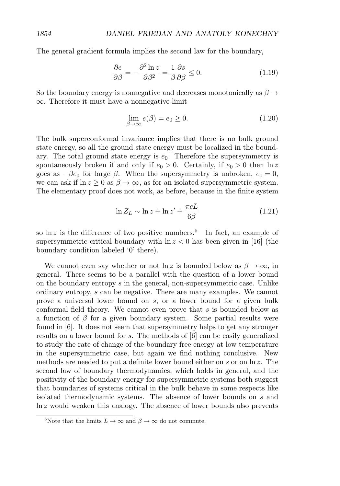The general gradient formula implies the second law for the boundary,

$$
\frac{\partial e}{\partial \beta} = -\frac{\partial^2 \ln z}{\partial \beta^2} = \frac{1}{\beta} \frac{\partial s}{\partial \beta} \le 0.
$$
 (1.19)

So the boundary energy is nonnegative and decreases monotonically as  $\beta \rightarrow$ ∞. Therefore it must have a nonnegative limit

$$
\lim_{\beta \to \infty} e(\beta) = e_0 \ge 0. \tag{1.20}
$$

The bulk superconformal invariance implies that there is no bulk ground state energy, so all the ground state energy must be localized in the boundary. The total ground state energy is  $e_0$ . Therefore the supersymmetry is spontaneously broken if and only if  $e_0 > 0$ . Certainly, if  $e_0 > 0$  then  $\ln z$ goes as  $-\beta e_0$  for large  $\beta$ . When the supersymmetry is unbroken,  $e_0 = 0$ , we can ask if  $\ln z \geq 0$  as  $\beta \to \infty$ , as for an isolated supersymmetric system. The elementary proof does not work, as before, because in the finite system

$$
\ln Z_L \sim \ln z + \ln z' + \frac{\pi cL}{6\beta} \tag{1.21}
$$

so  $\ln z$  is the difference of two positive numbers.<sup>5</sup> In fact, an example of supersymmetric critical boundary with  $\ln z < 0$  has been given in [16] (the boundary condition labeled '0' there).

We cannot even say whether or not  $\ln z$  is bounded below as  $\beta \to \infty$ , in general. There seems to be a parallel with the question of a lower bound on the boundary entropy s in the general, non-supersymmetric case. Unlike ordinary entropy, s can be negative. There are many examples. We cannot prove a universal lower bound on s, or a lower bound for a given bulk conformal field theory. We cannot even prove that  $s$  is bounded below as a function of  $\beta$  for a given boundary system. Some partial results were found in [6]. It does not seem that supersymmetry helps to get any stronger results on a lower bound for s. The methods of [6] can be easily generalized to study the rate of change of the boundary free energy at low temperature in the supersymmetric case, but again we find nothing conclusive. New methods are needed to put a definite lower bound either on s or on ln z. The second law of boundary thermodynamics, which holds in general, and the positivity of the boundary energy for supersymmetric systems both suggest that boundaries of systems critical in the bulk behave in some respects like isolated thermodynamic systems. The absence of lower bounds on s and ln z would weaken this analogy. The absence of lower bounds also prevents

<sup>&</sup>lt;sup>5</sup>Note that the limits  $L \to \infty$  and  $\beta \to \infty$  do not commute.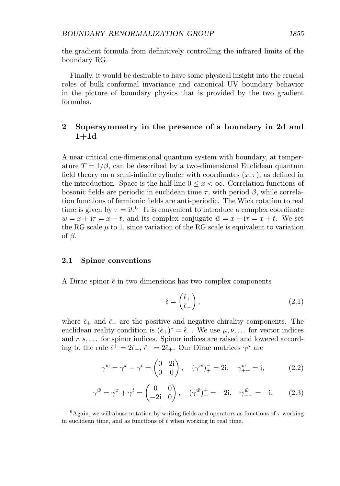the gradient formula from definitively controlling the infrared limits of the boundary RG.

Finally, it would be desirable to have some physical insight into the crucial roles of bulk conformal invariance and canonical UV boundary behavior in the picture of boundary physics that is provided by the two gradient formulas.

# **2 Supersymmetry in the presence of a boundary in 2d and 1+1d**

A near critical one-dimensional quantum system with boundary, at temperature  $T = 1/\beta$ , can be described by a two-dimensional Euclidean quantum field theory on a semi-infinite cylinder with coordinates  $(x, \tau)$ , as defined in the introduction. Space is the half-line  $0 \leq x < \infty$ . Correlation functions of bosonic fields are periodic in euclidean time  $\tau$ , with period  $\beta$ , while correlation functions of fermionic fields are anti-periodic. The Wick rotation to real time is given by  $\tau = it.^6$  It is convenient to introduce a complex coordinate  $w = x + i\tau = x - t$ , and its complex conjugate  $\bar{w} = x - i\tau = x + t$ . We set the RG scale  $\mu$  to 1, since variation of the RG scale is equivalent to variation of  $\beta$ .

#### **2.1 Spinor conventions**

A Dirac spinor  $\hat{\epsilon}$  in two dimensions has two complex components

$$
\hat{\epsilon} = \begin{pmatrix} \hat{\epsilon}_+ \\ \hat{\epsilon}_- \end{pmatrix},\tag{2.1}
$$

where  $\hat{\epsilon}_+$  and  $\hat{\epsilon}_-$  are the positive and negative chirality components. The euclidean reality condition is  $(\hat{\epsilon}_+)^* = \hat{\epsilon}_-$ . We use  $\mu, \nu, \dots$  for vector indices and  $r, s, \ldots$  for spinor indices. Spinor indices are raised and lowered according to the rule  $\hat{\epsilon}^+ = 2\hat{\epsilon}_-, \hat{\epsilon}^- = 2\hat{\epsilon}_+.$  Our Dirac matrices  $\gamma^{\mu}$  are

$$
\gamma^{w} = \gamma^{x} - \gamma^{t} = \begin{pmatrix} 0 & 2i \\ 0 & 0 \end{pmatrix}, \quad (\gamma^{w})_{+}^{-} = 2i, \quad \gamma_{++}^{w} = i, \quad (2.2)
$$

$$
\gamma^{\bar{w}} = \gamma^x + \gamma^t = \begin{pmatrix} 0 & 0 \\ -2i & 0 \end{pmatrix}, \quad (\gamma^{\bar{w}})^+ = -2i, \quad \gamma^{\bar{w}}_{--} = -i. \tag{2.3}
$$

<sup>&</sup>lt;sup>6</sup>Again, we will abuse notation by writing fields and operators as functions of  $\tau$  working in euclidean time, and as functions of  $t$  when working in real time.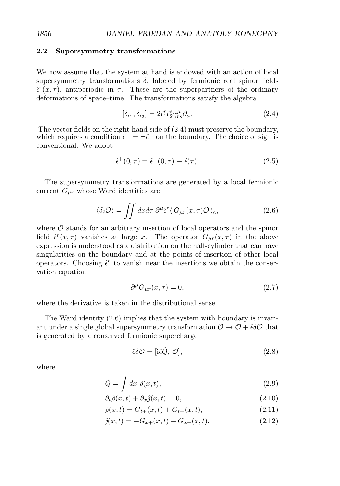### **2.2 Supersymmetry transformations**

We now assume that the system at hand is endowed with an action of local supersymmetry transformations  $\delta_{\hat{\epsilon}}$  labeled by fermionic real spinor fields  $\hat{\epsilon}^r(x,\tau)$ , antiperiodic in  $\tau$ . These are the superpartners of the ordinary deformations of space–time. The transformations satisfy the algebra

$$
[\delta_{\hat{\epsilon}_1}, \delta_{\hat{\epsilon}_2}] = 2\hat{\epsilon}_1^r \hat{\epsilon}_2^s \gamma_{rs}^\mu \partial_\mu.
$$
\n(2.4)

The vector fields on the right-hand side of (2.4) must preserve the boundary, which requires a condition  $\hat{\epsilon}^+ = \pm \hat{\epsilon}^-$  on the boundary. The choice of sign is conventional. We adopt

$$
\hat{\epsilon}^+(0,\tau) = \hat{\epsilon}^-(0,\tau) \equiv \hat{\epsilon}(\tau). \tag{2.5}
$$

The supersymmetry transformations are generated by a local fermionic current  $G_{\mu r}$  whose Ward identities are

$$
\langle \delta_{\hat{\epsilon}} \mathcal{O} \rangle = \iint dx d\tau \, \partial^{\mu} \hat{\epsilon}^{r} \langle G_{\mu r}(x,\tau) \mathcal{O} \rangle_{c}, \tag{2.6}
$$

where  $\mathcal O$  stands for an arbitrary insertion of local operators and the spinor field  $\hat{\epsilon}^r(x,\tau)$  vanishes at large x. The operator  $G_{\mu r}(x,\tau)$  in the above expression is understood as a distribution on the half-cylinder that can have singularities on the boundary and at the points of insertion of other local operators. Choosing  $\hat{\epsilon}^r$  to vanish near the insertions we obtain the conservation equation

$$
\partial^{\mu}G_{\mu r}(x,\tau) = 0,\tag{2.7}
$$

where the derivative is taken in the distributional sense.

The Ward identity (2.6) implies that the system with boundary is invariant under a single global supersymmetry transformation  $\mathcal{O} \to \mathcal{O} + \hat{\epsilon} \delta \mathcal{O}$  that is generated by a conserved fermionic supercharge

$$
\hat{\epsilon}\delta\mathcal{O} = [\hat{\iota}\hat{\epsilon}\hat{Q}, \mathcal{O}],\tag{2.8}
$$

where

$$
\hat{Q} = \int dx \ \hat{\rho}(x, t), \tag{2.9}
$$

$$
\partial_t \hat{\rho}(x, t) + \partial_x \hat{j}(x, t) = 0,\tag{2.10}
$$

$$
\hat{\rho}(x,t) = G_{t+}(x,t) + G_{t+}(x,t),\tag{2.11}
$$

$$
\hat{j}(x,t) = -G_{x+}(x,t) - G_{x+}(x,t). \tag{2.12}
$$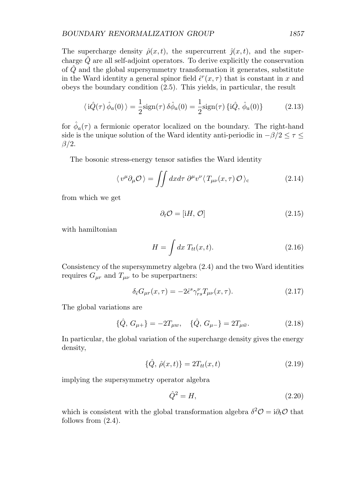The supercharge density  $\hat{\rho}(x,t)$ , the supercurrent  $\hat{j}(x,t)$ , and the supercharge  $Q$  are all self-adjoint operators. To derive explicitly the conservation of  $\hat{Q}$  and the global supersymmetry transformation it generates, substitute in the Ward identity a general spinor field  $\hat{\epsilon}^r(x, \tau)$  that is constant in x and obeys the boundary condition (2.5). This yields, in particular, the result

$$
\langle \dot{i}\hat{Q}(\tau)\,\hat{\phi}_a(0)\,\rangle = \frac{1}{2}\text{sign}(\tau)\,\delta\hat{\phi}_a(0) = \frac{1}{2}\text{sign}(\tau)\,\{\dot{i}\hat{Q},\,\hat{\phi}_a(0)\}\tag{2.13}
$$

for  $\phi_a(\tau)$  a fermionic operator localized on the boundary. The right-hand side is the unique solution of the Ward identity anti-periodic in  $-\beta/2 \leq \tau \leq$  $\beta/2$ .

The bosonic stress-energy tensor satisfies the Ward identity

$$
\langle v^{\mu} \partial_{\mu} \mathcal{O} \rangle = \iint dx d\tau \, \partial^{\mu} v^{\nu} \langle T_{\mu\nu}(x,\tau) \mathcal{O} \rangle_{\text{c}} \tag{2.14}
$$

from which we get

$$
\partial_t \mathcal{O} = [\mathrm{i}H, \, \mathcal{O}] \tag{2.15}
$$

with hamiltonian

$$
H = \int dx \; T_{tt}(x, t). \tag{2.16}
$$

Consistency of the supersymmetry algebra (2.4) and the two Ward identities requires  $G_{\mu r}$  and  $T_{\mu\nu}$  to be superpartners:

$$
\delta_{\hat{\epsilon}} G_{\mu r}(x,\tau) = -2\hat{\epsilon}^s \gamma_{rs}^{\nu} T_{\mu\nu}(x,\tau). \tag{2.17}
$$

The global variations are

$$
\{\hat{Q}, G_{\mu+}\} = -2T_{\mu w}, \quad \{\hat{Q}, G_{\mu-}\} = 2T_{\mu \bar{w}}.
$$
\n(2.18)

In particular, the global variation of the supercharge density gives the energy density,

$$
\{\hat{Q}, \ \hat{\rho}(x,t)\} = 2T_{tt}(x,t) \tag{2.19}
$$

implying the supersymmetry operator algebra

$$
\hat{Q}^2 = H,\tag{2.20}
$$

which is consistent with the global transformation algebra  $\delta^2 \mathcal{O} = i \partial_t \mathcal{O}$  that follows from (2.4).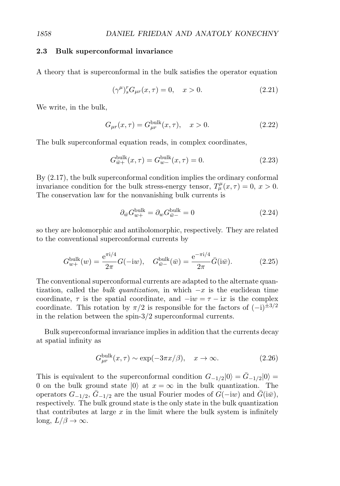#### **2.3 Bulk superconformal invariance**

A theory that is superconformal in the bulk satisfies the operator equation

$$
(\gamma^{\mu})_s^r G_{\mu r}(x,\tau) = 0, \quad x > 0. \tag{2.21}
$$

We write, in the bulk,

$$
G_{\mu r}(x,\tau) = G_{\mu r}^{\text{bulk}}(x,\tau), \quad x > 0.
$$
 (2.22)

The bulk superconformal equation reads, in complex coordinates,

$$
G_{\bar{w}+}^{\text{bulk}}(x,\tau) = G_{w-}^{\text{bulk}}(x,\tau) = 0.
$$
 (2.23)

By (2.17), the bulk superconformal condition implies the ordinary conformal invariance condition for the bulk stress-energy tensor,  $T^{\mu}_{\mu}(x,\tau) = 0, x > 0$ . The conservation law for the nonvanishing bulk currents is

$$
\partial_{\bar{w}} G_{w+}^{\text{bulk}} = \partial_w G_{\bar{w}-}^{\text{bulk}} = 0 \tag{2.24}
$$

so they are holomorphic and antiholomorphic, respectively. They are related to the conventional superconformal currents by

$$
G_{w+}^{\text{bulk}}(w) = \frac{e^{\pi i/4}}{2\pi} G(-iw), \quad G_{\bar{w}-}^{\text{bulk}}(\bar{w}) = \frac{e^{-\pi i/4}}{2\pi} \bar{G}(i\bar{w}). \tag{2.25}
$$

The conventional superconformal currents are adapted to the alternate quantization, called the *bulk quantization*, in which  $-x$  is the euclidean time coordinate,  $\tau$  is the spatial coordinate, and  $-iw = \tau - i\tau$  is the complex coordinate. This rotation by  $\pi/2$  is responsible for the factors of  $(-i)^{\pm 3/2}$ in the relation between the spin-3/2 superconformal currents.

Bulk superconformal invariance implies in addition that the currents decay at spatial infinity as

$$
G_{\mu r}^{\text{bulk}}(x,\tau) \sim \exp(-3\pi x/\beta), \quad x \to \infty. \tag{2.26}
$$

This is equivalent to the superconformal condition  $G_{-1/2}|0\rangle = G_{-1/2}|0\rangle =$ 0 on the bulk ground state  $|0\rangle$  at  $x = \infty$  in the bulk quantization. The operators  $G_{-1/2}$ ,  $\bar{G}_{-1/2}$  are the usual Fourier modes of  $G(-iw)$  and  $\bar{G}(i\bar{w})$ , respectively. The bulk ground state is the only state in the bulk quantization that contributes at large  $x$  in the limit where the bulk system is infinitely long,  $L/\beta \to \infty$ .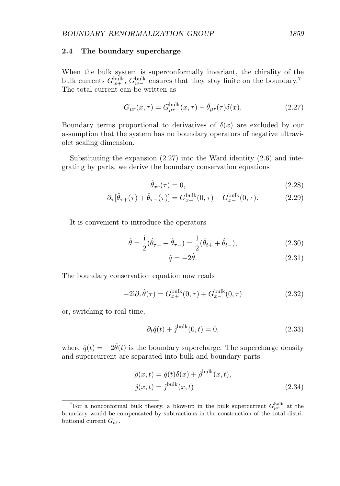#### **2.4 The boundary supercharge**

When the bulk system is superconformally invariant, the chirality of the bulk currents  $G_{w+}^{\text{bulk}}$ ,  $G_{\bar{w}-}^{\text{bulk}}$  ensures that they stay finite on the boundary.<sup>7</sup> The total current can be written as

$$
G_{\mu r}(x,\tau) = G_{\mu r}^{\text{bulk}}(x,\tau) - \hat{\theta}_{\mu r}(\tau)\delta(x). \tag{2.27}
$$

Boundary terms proportional to derivatives of  $\delta(x)$  are excluded by our assumption that the system has no boundary operators of negative ultraviolet scaling dimension.

Substituting the expansion  $(2.27)$  into the Ward identity  $(2.6)$  and integrating by parts, we derive the boundary conservation equations

$$
\hat{\theta}_{xr}(\tau) = 0,\tag{2.28}
$$

$$
\partial_{\tau}[\hat{\theta}_{\tau+}(\tau) + \hat{\theta}_{\tau-}(\tau)] = G_{x+}^{\text{bulk}}(0, \tau) + G_{x-}^{\text{bulk}}(0, \tau). \tag{2.29}
$$

It is convenient to introduce the operators

$$
\hat{\theta} = \frac{\mathrm{i}}{2}(\hat{\theta}_{\tau+} + \hat{\theta}_{\tau-}) = \frac{1}{2}(\hat{\theta}_{t+} + \hat{\theta}_{t-}),\tag{2.30}
$$

$$
\hat{q} = -2\hat{\theta}.\tag{2.31}
$$

The boundary conservation equation now reads

$$
-2i\partial_{\tau}\hat{\theta}(\tau) = G_{x+}^{\text{bulk}}(0,\tau) + G_{x-}^{\text{bulk}}(0,\tau)
$$
\n(2.32)

or, switching to real time,

$$
\partial_t \hat{q}(t) + \hat{j}^{\text{bulk}}(0, t) = 0,\tag{2.33}
$$

where  $\hat{q}(t) = -2\hat{\theta}(t)$  is the boundary supercharge. The supercharge density and supercurrent are separated into bulk and boundary parts:

$$
\hat{\rho}(x,t) = \hat{q}(t)\delta(x) + \hat{\rho}^{\text{bulk}}(x,t),
$$
  

$$
\hat{j}(x,t) = \hat{j}^{\text{bulk}}(x,t)
$$
\n(2.34)

<sup>&</sup>lt;sup>7</sup>For a nonconformal bulk theory, a blow-up in the bulk supercurrent  $G_{\mu r}^{\text{bulk}}$  at the boundary would be compensated by subtractions in the construction of the total distributional current  $G_{\mu r}$ .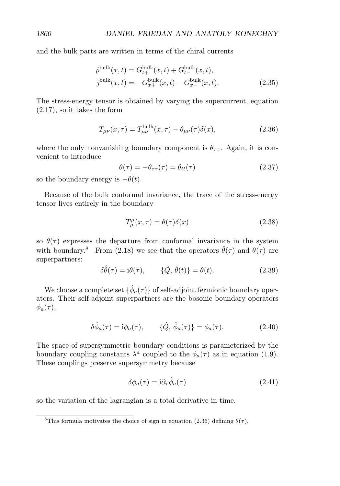and the bulk parts are written in terms of the chiral currents

$$
\hat{\rho}^{\text{bulk}}(x,t) = G_{t+}^{\text{bulk}}(x,t) + G_{t-}^{\text{bulk}}(x,t),
$$
  

$$
\hat{\jmath}^{\text{bulk}}(x,t) = -G_{x+}^{\text{bulk}}(x,t) - G_{x-}^{\text{bulk}}(x,t).
$$
 (2.35)

The stress-energy tensor is obtained by varying the supercurrent, equation (2.17), so it takes the form

$$
T_{\mu\nu}(x,\tau) = T_{\mu\nu}^{\text{bulk}}(x,\tau) - \theta_{\mu\nu}(\tau)\delta(x),\tag{2.36}
$$

where the only nonvanishing boundary component is  $\theta_{\tau\tau}$ . Again, it is convenient to introduce

$$
\theta(\tau) = -\theta_{\tau\tau}(\tau) = \theta_{tt}(\tau) \tag{2.37}
$$

so the boundary energy is  $-\theta(t)$ .

Because of the bulk conformal invariance, the trace of the stress-energy tensor lives entirely in the boundary

$$
T^{\mu}_{\mu}(x,\tau) = \theta(\tau)\delta(x) \tag{2.38}
$$

so  $\theta(\tau)$  expresses the departure from conformal invariance in the system with boundary.<sup>8</sup> From (2.18) we see that the operators  $\hat{\theta}(\tau)$  and  $\theta(\tau)$  are superpartners:

$$
\delta\hat{\theta}(\tau) = i\theta(\tau), \qquad \{\hat{Q}, \hat{\theta}(t)\} = \theta(t). \tag{2.39}
$$

We choose a complete set  $\{\hat{\phi}_a(\tau)\}\$  of self-adjoint fermionic boundary operators. Their self-adjoint superpartners are the bosonic boundary operators  $\phi_a(\tau),$ 

$$
\delta\hat{\phi}_a(\tau) = i\phi_a(\tau), \qquad \{\hat{Q}, \hat{\phi}_a(\tau)\} = \phi_a(\tau). \tag{2.40}
$$

The space of supersymmetric boundary conditions is parameterized by the boundary coupling constants  $\lambda^a$  coupled to the  $\phi_a(\tau)$  as in equation (1.9). These couplings preserve supersymmetry because

$$
\delta\phi_a(\tau) = i\partial_\tau \hat{\phi}_a(\tau) \tag{2.41}
$$

so the variation of the lagrangian is a total derivative in time.

<sup>&</sup>lt;sup>8</sup>This formula motivates the choice of sign in equation (2.36) defining  $\theta(\tau)$ .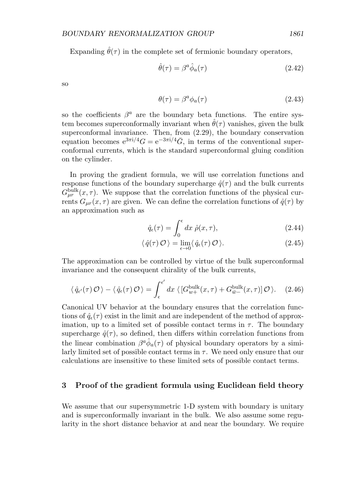Expanding  $\hat{\theta}(\tau)$  in the complete set of fermionic boundary operators,

$$
\hat{\theta}(\tau) = \beta^a \hat{\phi}_a(\tau) \tag{2.42}
$$

so

$$
\theta(\tau) = \beta^a \phi_a(\tau) \tag{2.43}
$$

so the coefficients  $\beta^a$  are the boundary beta functions. The entire system becomes superconformally invariant when  $\hat{\theta}(\tau)$  vanishes, given the bulk superconformal invariance. Then, from (2.29), the boundary conservation equation becomes  $e^{3\pi i/4}G = e^{-3\pi i/4}\bar{G}$ , in terms of the conventional superconformal currents, which is the standard superconformal gluing condition on the cylinder.

In proving the gradient formula, we will use correlation functions and response functions of the boundary supercharge  $\hat{q}(\tau)$  and the bulk currents  $G_{\mu r}^{\text{bulk}}(x,\tau)$ . We suppose that the correlation functions of the physical currents  $G_{\mu r}(x, \tau)$  are given. We can define the correlation functions of  $\hat{q}(\tau)$  by an approximation such as

$$
\hat{q}_{\epsilon}(\tau) = \int_0^{\epsilon} dx \; \hat{\rho}(x,\tau), \tag{2.44}
$$

$$
\langle \hat{q}(\tau) \mathcal{O} \rangle = \lim_{\epsilon \to 0} \langle \hat{q}_{\epsilon}(\tau) \mathcal{O} \rangle. \tag{2.45}
$$

The approximation can be controlled by virtue of the bulk superconformal invariance and the consequent chirality of the bulk currents,

$$
\langle \hat{q}_{\epsilon'}(\tau) \mathcal{O} \rangle - \langle \hat{q}_{\epsilon}(\tau) \mathcal{O} \rangle = \int_{\epsilon}^{\epsilon'} dx \langle [G_{w+}^{\text{bulk}}(x,\tau) + G_{\bar{w}-}^{\text{bulk}}(x,\tau)] \mathcal{O} \rangle. \tag{2.46}
$$

Canonical UV behavior at the boundary ensures that the correlation functions of  $\hat{q}_{\epsilon}(\tau)$  exist in the limit and are independent of the method of approximation, up to a limited set of possible contact terms in  $\tau$ . The boundary supercharge  $\hat{q}(\tau)$ , so defined, then differs within correlation functions from the linear combination  $\beta^a \hat{\phi}_a(\tau)$  of physical boundary operators by a similarly limited set of possible contact terms in  $\tau$ . We need only ensure that our calculations are insensitive to these limited sets of possible contact terms.

## **3 Proof of the gradient formula using Euclidean field theory**

We assume that our supersymmetric 1-D system with boundary is unitary and is superconformally invariant in the bulk. We also assume some regularity in the short distance behavior at and near the boundary. We require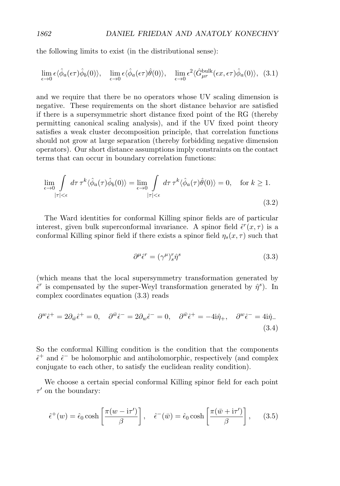the following limits to exist (in the distributional sense):

$$
\lim_{\epsilon \to 0} \epsilon \langle \hat{\phi}_a(\epsilon \tau) \hat{\phi}_b(0) \rangle, \quad \lim_{\epsilon \to 0} \epsilon \langle \hat{\phi}_a(\epsilon \tau) \hat{\theta}(0) \rangle, \quad \lim_{\epsilon \to 0} \epsilon^2 \langle \hat{G}_{\mu r}^{\text{bulk}}(\epsilon x, \epsilon \tau) \hat{\phi}_a(0) \rangle, (3.1)
$$

and we require that there be no operators whose UV scaling dimension is negative. These requirements on the short distance behavior are satisfied if there is a supersymmetric short distance fixed point of the RG (thereby permitting canonical scaling analysis), and if the UV fixed point theory satisfies a weak cluster decomposition principle, that correlation functions should not grow at large separation (thereby forbidding negative dimension operators). Our short distance assumptions imply constraints on the contact terms that can occur in boundary correlation functions:

$$
\lim_{\epsilon \to 0} \int_{|\tau| < \epsilon} d\tau \,\tau^k \langle \hat{\phi}_a(\tau) \hat{\phi}_b(0) \rangle = \lim_{\epsilon \to 0} \int_{|\tau| < \epsilon} d\tau \,\tau^k \langle \hat{\phi}_a(\tau) \hat{\theta}(0) \rangle = 0, \quad \text{for } k \ge 1.
$$
\n
$$
(3.2)
$$

The Ward identities for conformal Killing spinor fields are of particular interest, given bulk superconformal invariance. A spinor field  $\hat{\epsilon}^r(x,\tau)$  is a conformal Killing spinor field if there exists a spinor field  $\eta_s(x, \tau)$  such that

$$
\partial^{\mu}\hat{\epsilon}^{r} = (\gamma^{\mu})^{r}_{s}\hat{\eta}^{s}
$$
\n(3.3)

(which means that the local supersymmetry transformation generated by  $\hat{\epsilon}^r$  is compensated by the super-Weyl transformation generated by  $\hat{\eta}^s$ ). In complex coordinates equation (3.3) reads

$$
\partial^w \hat{\epsilon}^+ = 2\partial_{\bar{w}} \hat{\epsilon}^+ = 0, \quad \partial^{\bar{w}} \hat{\epsilon}^- = 2\partial_w \hat{\epsilon}^- = 0, \quad \partial^{\bar{w}} \hat{\epsilon}^+ = -4i\hat{\eta}_+, \quad \partial^w \hat{\epsilon}^- = 4i\hat{\eta}_-\tag{3.4}
$$

So the conformal Killing condition is the condition that the components  $\hat{\epsilon}^+$  and  $\hat{\epsilon}^-$  be holomorphic and antiholomorphic, respectively (and complex conjugate to each other, to satisfy the euclidean reality condition).

We choose a certain special conformal Killing spinor field for each point  $\tau'$  on the boundary:

$$
\hat{\epsilon}^+(w) = \hat{\epsilon}_0 \cosh\left[\frac{\pi(w - i\tau')}{\beta}\right], \quad \hat{\epsilon}^-(\bar{w}) = \hat{\epsilon}_0 \cosh\left[\frac{\pi(\bar{w} + i\tau')}{\beta}\right], \quad (3.5)
$$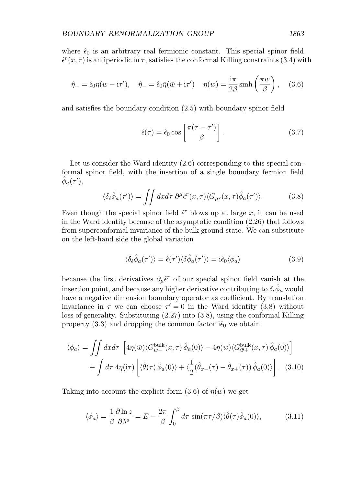where  $\hat{\epsilon}_0$  is an arbitrary real fermionic constant. This special spinor field  $\hat{\epsilon}^r(x, \tau)$  is antiperiodic in  $\tau$ , satisfies the conformal Killing constraints (3.4) with

$$
\hat{\eta}_+ = \hat{\epsilon}_0 \eta (w - \mathrm{i} \tau'), \quad \hat{\eta}_- = \hat{\epsilon}_0 \bar{\eta} (\bar{w} + \mathrm{i} \tau') \quad \eta(w) = \frac{\mathrm{i} \pi}{2\beta} \sinh\left(\frac{\pi w}{\beta}\right), \quad (3.6)
$$

and satisfies the boundary condition (2.5) with boundary spinor field

$$
\hat{\epsilon}(\tau) = \hat{\epsilon}_0 \cos\left[\frac{\pi(\tau - \tau')}{\beta}\right].
$$
\n(3.7)

Let us consider the Ward identity  $(2.6)$  corresponding to this special conformal spinor field, with the insertion of a single boundary fermion field  $\hat{\phi}_a(\tau'),$ 

$$
\langle \delta_{\hat{\epsilon}} \hat{\phi}_a(\tau') \rangle = \iint dx d\tau \ \partial^{\mu} \hat{\epsilon}^r(x,\tau) \langle G_{\mu r}(x,\tau) \hat{\phi}_a(\tau') \rangle. \tag{3.8}
$$

Even though the special spinor field  $\hat{\epsilon}^r$  blows up at large x, it can be used in the Ward identity because of the asymptotic condition (2.26) that follows from superconformal invariance of the bulk ground state. We can substitute on the left-hand side the global variation

$$
\langle \delta_{\hat{\epsilon}} \hat{\phi}_a(\tau') \rangle = \hat{\epsilon}(\tau') \langle \delta \hat{\phi}_a(\tau') \rangle = i \hat{\epsilon}_0 \langle \phi_a \rangle \tag{3.9}
$$

because the first derivatives  $\partial_{\mu}\hat{\epsilon}^r$  of our special spinor field vanish at the insertion point, and because any higher derivative contributing to  $\delta_{\hat{\epsilon}} \hat{\phi}_a$  would have a negative dimension boundary operator as coefficient. By translation invariance in  $\tau$  we can choose  $\tau' = 0$  in the Ward identity (3.8) without loss of generality. Substituting (2.27) into (3.8), using the conformal Killing property  $(3.3)$  and dropping the common factor  $i\hat{\epsilon}_0$  we obtain

$$
\langle \phi_a \rangle = \iint dx d\tau \left[ 4\eta(\bar{w}) \langle G_{w-}^{\text{bulk}}(x,\tau) \hat{\phi}_a(0) \rangle - 4\eta(w) \langle G_{\bar{w}+}^{\text{bulk}}(x,\tau) \hat{\phi}_a(0) \rangle \right] + \int d\tau \, 4\eta(\text{i}\tau) \left[ \langle \hat{\theta}(\tau) \hat{\phi}_a(0) \rangle + \langle \frac{1}{2} (\hat{\theta}_{x-}(\tau) - \hat{\theta}_{x+}(\tau)) \hat{\phi}_a(0) \rangle \right]. \tag{3.10}
$$

Taking into account the explicit form  $(3.6)$  of  $\eta(w)$  we get

$$
\langle \phi_a \rangle = \frac{1}{\beta} \frac{\partial \ln z}{\partial \lambda^a} = E - \frac{2\pi}{\beta} \int_0^\beta d\tau \, \sin(\pi \tau/\beta) \langle \hat{\theta}(\tau) \hat{\phi}_a(0) \rangle, \tag{3.11}
$$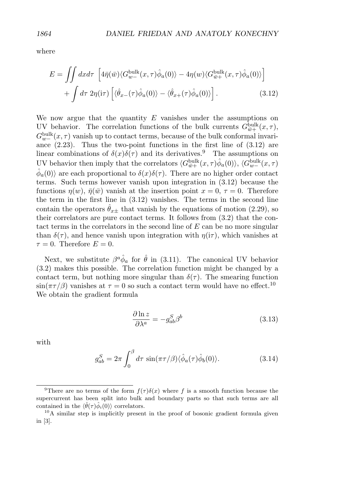where

$$
E = \iint dx d\tau \left[ 4\bar{\eta}(\bar{w}) \langle G_{w-}^{\text{bulk}}(x,\tau) \hat{\phi}_a(0) \rangle - 4\eta(w) \langle G_{\bar{w}+}^{\text{bulk}}(x,\tau) \hat{\phi}_a(0) \rangle \right] + \int d\tau \, 2\eta(\text{i}\tau) \left[ \langle \hat{\theta}_{x-}(\tau) \hat{\phi}_a(0) \rangle - \langle \hat{\theta}_{x+}(\tau) \hat{\phi}_a(0) \rangle \right]. \tag{3.12}
$$

We now argue that the quantity  $E$  vanishes under the assumptions on UV behavior. The correlation functions of the bulk currents  $G_{\bar{w}+}^{\text{bulk}}(x,\tau)$ ,  $G_{w-}^{\text{bulk}}(x,\tau)$  vanish up to contact terms, because of the bulk conformal invariance  $(2.23)$ . Thus the two-point functions in the first line of  $(3.12)$  are linear combinations of  $\delta(x)\delta(\tau)$  and its derivatives.<sup>9</sup> The assumptions on UV behavior then imply that the correlators  $\langle G_{\bar{w}+}^{\text{bulk}}(x,\tau)\hat{\phi}_a(0)\rangle$ ,  $\langle G_{w-}^{\text{bulk}}(x,\tau)$  $\hat{\phi}_a(0)$  are each proportional to  $\delta(x)\delta(\tau)$ . There are no higher order contact terms. Such terms however vanish upon integration in (3.12) because the functions  $\eta(w)$ ,  $\bar{\eta}(\bar{w})$  vanish at the insertion point  $x = 0, \tau = 0$ . Therefore the term in the first line in (3.12) vanishes. The terms in the second line contain the operators  $\theta_{x\pm}$  that vanish by the equations of motion (2.29), so their correlators are pure contact terms. It follows from (3.2) that the contact terms in the correlators in the second line of  $E$  can be no more singular than  $\delta(\tau)$ , and hence vanish upon integration with  $\eta(i\tau)$ , which vanishes at  $\tau = 0$ . Therefore  $E = 0$ .

Next, we substitute  $\beta^a \hat{\phi}_a$  for  $\hat{\theta}$  in (3.11). The canonical UV behavior (3.2) makes this possible. The correlation function might be changed by a contact term, but nothing more singular than  $\delta(\tau)$ . The smearing function  $\sin(\pi \tau/\beta)$  vanishes at  $\tau = 0$  so such a contact term would have no effect.<sup>10</sup> We obtain the gradient formula

$$
\frac{\partial \ln z}{\partial \lambda^a} = -g_{ab}^S \beta^b \tag{3.13}
$$

with

$$
g_{ab}^S = 2\pi \int_0^\beta d\tau \, \sin(\pi \tau/\beta) \langle \hat{\phi}_a(\tau) \hat{\phi}_b(0) \rangle. \tag{3.14}
$$

<sup>&</sup>lt;sup>9</sup>There are no terms of the form  $f(\tau)\delta(x)$  where f is a smooth function because the supercurrent has been split into bulk and boundary parts so that such terms are all contained in the  $\langle \hat{\theta}(\tau) \hat{\phi}_i(0) \rangle$  correlators.

<sup>&</sup>lt;sup>10</sup>A similar step is implicitly present in the proof of bosonic gradient formula given in [3].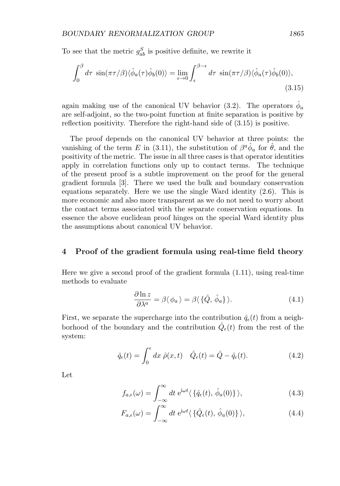To see that the metric  $g_{ab}^S$  is positive definite, we rewrite it

$$
\int_0^\beta d\tau \, \sin(\pi \tau/\beta) \langle \hat{\phi}_a(\tau) \hat{\phi}_b(0) \rangle = \lim_{\epsilon \to 0} \int_\epsilon^{\beta - \epsilon} d\tau \, \sin(\pi \tau/\beta) \langle \hat{\phi}_a(\tau) \hat{\phi}_b(0) \rangle, \tag{3.15}
$$

again making use of the canonical UV behavior (3.2). The operators  $\phi_a$ are self-adjoint, so the two-point function at finite separation is positive by reflection positivity. Therefore the right-hand side of (3.15) is positive.

The proof depends on the canonical UV behavior at three points: the vanishing of the term E in (3.11), the substitution of  $\beta^a \hat{\phi}_a$  for  $\hat{\theta}$ , and the positivity of the metric. The issue in all three cases is that operator identities apply in correlation functions only up to contact terms. The technique of the present proof is a subtle improvement on the proof for the general gradient formula [3]. There we used the bulk and boundary conservation equations separately. Here we use the single Ward identity (2.6). This is more economic and also more transparent as we do not need to worry about the contact terms associated with the separate conservation equations. In essence the above euclidean proof hinges on the special Ward identity plus the assumptions about canonical UV behavior.

#### **4 Proof of the gradient formula using real-time field theory**

Here we give a second proof of the gradient formula (1.11), using real-time methods to evaluate

$$
\frac{\partial \ln z}{\partial \lambda^a} = \beta \langle \phi_a \rangle = \beta \langle \{\hat{Q}, \hat{\phi}_a\} \rangle.
$$
 (4.1)

First, we separate the supercharge into the contribution  $\hat{q}_{\epsilon}(t)$  from a neighborhood of the boundary and the contribution  $\hat{Q}_{\epsilon}(t)$  from the rest of the system:

$$
\hat{q}_{\epsilon}(t) = \int_0^{\epsilon} dx \ \hat{\rho}(x, t) \quad \hat{Q}_{\epsilon}(t) = \hat{Q} - \hat{q}_{\epsilon}(t). \tag{4.2}
$$

Let

$$
f_{a,\epsilon}(\omega) = \int_{-\infty}^{\infty} dt \ e^{i\omega t} \langle \{ \hat{q}_{\epsilon}(t), \hat{\phi}_a(0) \} \rangle, \tag{4.3}
$$

$$
F_{a,\epsilon}(\omega) = \int_{-\infty}^{\infty} dt \ e^{i\omega t} \langle \{ \hat{Q}_{\epsilon}(t), \hat{\phi}_a(0) \} \rangle, \qquad (4.4)
$$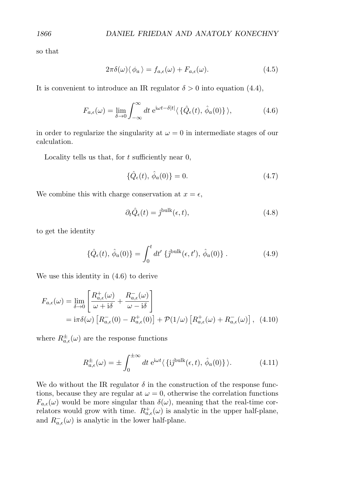so that

$$
2\pi\delta(\omega)\langle\phi_a\rangle = f_{a,\epsilon}(\omega) + F_{a,\epsilon}(\omega). \tag{4.5}
$$

It is convenient to introduce an IR regulator  $\delta > 0$  into equation (4.4),

$$
F_{a,\epsilon}(\omega) = \lim_{\delta \to 0} \int_{-\infty}^{\infty} dt \ e^{i\omega t - \delta|t|} \langle \{\hat{Q}_{\epsilon}(t), \hat{\phi}_a(0)\} \rangle, \tag{4.6}
$$

in order to regularize the singularity at  $\omega = 0$  in intermediate stages of our calculation.

Locality tells us that, for  $t$  sufficiently near  $0$ ,

$$
\{\hat{Q}_{\epsilon}(t), \,\hat{\phi}_a(0)\} = 0. \tag{4.7}
$$

We combine this with charge conservation at  $x = \epsilon$ ,

$$
\partial_t \hat{Q}_{\epsilon}(t) = \hat{j}^{\text{bulk}}(\epsilon, t),\tag{4.8}
$$

to get the identity

$$
\{\hat{Q}_{\epsilon}(t), \,\hat{\phi}_a(0)\} = \int_0^t dt' \,\{\hat{\jmath}^{\text{bulk}}(\epsilon, t'), \,\hat{\phi}_a(0)\} \,. \tag{4.9}
$$

We use this identity in (4.6) to derive

$$
F_{a,\epsilon}(\omega) = \lim_{\delta \to 0} \left[ \frac{R_{a,\epsilon}^+(\omega)}{\omega + i\delta} + \frac{R_{a,\epsilon}^-(\omega)}{\omega - i\delta} \right]
$$
  
=  $i\pi\delta(\omega) \left[ R_{a,\epsilon}^-(0) - R_{a,\epsilon}^+(0) \right] + \mathcal{P}(1/\omega) \left[ R_{a,\epsilon}^+(\omega) + R_{a,\epsilon}^-(\omega) \right],$  (4.10)

where  $R_{a,\epsilon}^{\pm}(\omega)$  are the response functions

$$
R_{a,\epsilon}^{\pm}(\omega) = \pm \int_0^{\pm \infty} dt \ e^{i\omega t} \langle \{i\hat{j}^{\text{bulk}}(\epsilon, t), \hat{\phi}_a(0)\} \rangle.
$$
 (4.11)

We do without the IR regulator  $\delta$  in the construction of the response functions, because they are regular at  $\omega = 0$ , otherwise the correlation functions  $F_{a,\epsilon}(\omega)$  would be more singular than  $\delta(\omega)$ , meaning that the real-time correlators would grow with time.  $R_{a,\epsilon}^+(\omega)$  is analytic in the upper half-plane, and  $R_{a,\epsilon}^-(\omega)$  is analytic in the lower half-plane.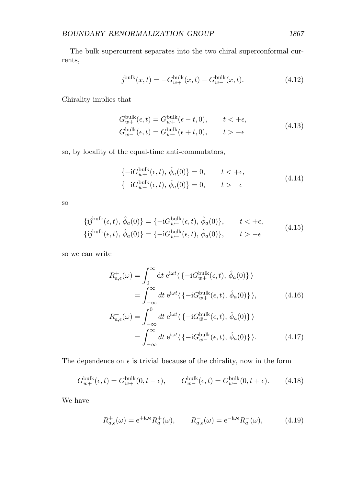The bulk supercurrent separates into the two chiral superconformal currents,

$$
\hat{j}^{\text{bulk}}(x,t) = -G_{w+}^{\text{bulk}}(x,t) - G_{\bar{w}-}^{\text{bulk}}(x,t). \tag{4.12}
$$

Chirality implies that

$$
G_{w+}^{\text{bulk}}(\epsilon, t) = G_{w+}^{\text{bulk}}(\epsilon - t, 0), \qquad t < +\epsilon,
$$
  
\n
$$
G_{\bar{w}-}^{\text{bulk}}(\epsilon, t) = G_{\bar{w}-}^{\text{bulk}}(\epsilon + t, 0), \qquad t > -\epsilon
$$
\n(4.13)

so, by locality of the equal-time anti-commutators,

$$
\begin{aligned}\n\{-\mathrm{i}G_{w+}^{\text{bulk}}(\epsilon, t), \hat{\phi}_a(0)\} &= 0, \qquad t < +\epsilon, \\
\{-\mathrm{i}G_{\bar{w}-}^{\text{bulk}}(\epsilon, t), \hat{\phi}_a(0)\} &= 0, \qquad t > -\epsilon\n\end{aligned} \tag{4.14}
$$

so

$$
\{ij^{\text{bulk}}(\epsilon, t), \hat{\phi}_a(0)\} = \{-iG_{\bar{w}-}^{\text{bulk}}(\epsilon, t), \hat{\phi}_a(0)\}, \qquad t < +\epsilon,
$$
  

$$
\{ij^{\text{bulk}}(\epsilon, t), \hat{\phi}_a(0)\} = \{-iG_{w+}^{\text{bulk}}(\epsilon, t), \hat{\phi}_a(0)\}, \qquad t > -\epsilon
$$
 (4.15)

so we can write

$$
R_{a,\epsilon}^{+}(\omega) = \int_{0}^{\infty} dt \ e^{i\omega t} \langle \{-iG_{w+}^{\text{bulk}}(\epsilon, t), \hat{\phi}_{a}(0)\} \rangle
$$
  
\n
$$
= \int_{-\infty}^{\infty} dt \ e^{i\omega t} \langle \{-iG_{w+}^{\text{bulk}}(\epsilon, t), \hat{\phi}_{a}(0)\} \rangle, \qquad (4.16)
$$
  
\n
$$
R_{a,\epsilon}^{-}(\omega) = \int_{-\infty}^{0} dt \ e^{i\omega t} \langle \{-iG_{\bar{w}-}^{\text{bulk}}(\epsilon, t), \hat{\phi}_{a}(0)\} \rangle
$$
  
\n
$$
= \int_{-\infty}^{\infty} dt \ e^{i\omega t} \langle \{-iG_{\bar{w}-}^{\text{bulk}}(\epsilon, t), \hat{\phi}_{a}(0)\} \rangle. \qquad (4.17)
$$

The dependence on  $\epsilon$  is trivial because of the chirality, now in the form

$$
G_{w+}^{\text{bulk}}(\epsilon, t) = G_{w+}^{\text{bulk}}(0, t - \epsilon), \qquad G_{\bar{w}-}^{\text{bulk}}(\epsilon, t) = G_{\bar{w}-}^{\text{bulk}}(0, t + \epsilon). \tag{4.18}
$$

We have

$$
R_{a,\epsilon}^+(\omega) = e^{+i\omega\epsilon} R_a^+(\omega), \qquad R_{a,\epsilon}^-(\omega) = e^{-i\omega\epsilon} R_a^-(\omega), \tag{4.19}
$$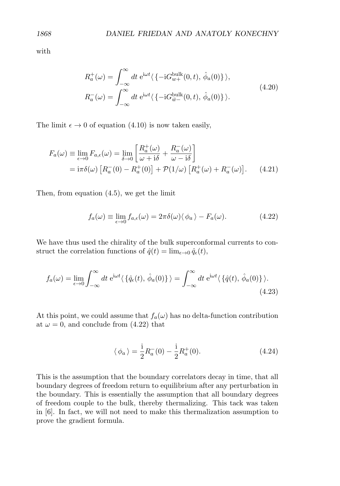with

$$
R_a^+(\omega) = \int_{-\infty}^{\infty} dt \ e^{i\omega t} \langle \{-iG_{w+}^{\text{bulk}}(0, t), \hat{\phi}_a(0)\} \rangle,
$$
  

$$
R_a^-(\omega) = \int_{-\infty}^{\infty} dt \ e^{i\omega t} \langle \{-iG_{\overline{w}-}^{\text{bulk}}(0, t), \hat{\phi}_a(0)\} \rangle.
$$
 (4.20)

The limit  $\epsilon \to 0$  of equation (4.10) is now taken easily,

$$
F_a(\omega) \equiv \lim_{\epsilon \to 0} F_{a,\epsilon}(\omega) = \lim_{\delta \to 0} \left[ \frac{R_a^+(\omega)}{\omega + i\delta} + \frac{R_a^-(\omega)}{\omega - i\delta} \right]
$$
  
=  $i\pi \delta(\omega) \left[ R_a^-(0) - R_a^+(0) \right] + \mathcal{P}(1/\omega) \left[ R_a^+(\omega) + R_a^-(\omega) \right].$  (4.21)

Then, from equation (4.5), we get the limit

$$
f_a(\omega) \equiv \lim_{\epsilon \to 0} f_{a,\epsilon}(\omega) = 2\pi \delta(\omega) \langle \phi_a \rangle - F_a(\omega). \tag{4.22}
$$

We have thus used the chirality of the bulk superconformal currents to construct the correlation functions of  $\hat{q}(t) = \lim_{\epsilon \to 0} \hat{q}_{\epsilon}(t)$ ,

$$
f_a(\omega) = \lim_{\epsilon \to 0} \int_{-\infty}^{\infty} dt \ e^{i\omega t} \langle \{ \hat{q}_{\epsilon}(t), \, \hat{\phi}_a(0) \} \rangle = \int_{-\infty}^{\infty} dt \ e^{i\omega t} \langle \{ \hat{q}(t), \, \hat{\phi}_a(0) \} \rangle.
$$
\n(4.23)

At this point, we could assume that  $f_a(\omega)$  has no delta-function contribution at  $\omega = 0$ , and conclude from (4.22) that

$$
\langle \phi_a \rangle = \frac{1}{2} R_a^-(0) - \frac{1}{2} R_a^+(0). \tag{4.24}
$$

This is the assumption that the boundary correlators decay in time, that all boundary degrees of freedom return to equilibrium after any perturbation in the boundary. This is essentially the assumption that all boundary degrees of freedom couple to the bulk, thereby thermalizing. This tack was taken in [6]. In fact, we will not need to make this thermalization assumption to prove the gradient formula.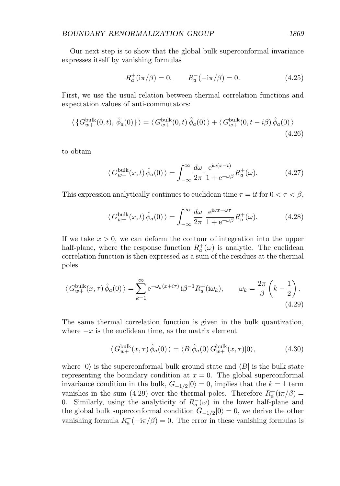Our next step is to show that the global bulk superconformal invariance expresses itself by vanishing formulas

$$
R_a^+(\mathrm{i}\pi/\beta) = 0, \qquad R_a^-(\mathrm{-i}\pi/\beta) = 0. \tag{4.25}
$$

First, we use the usual relation between thermal correlation functions and expectation values of anti-commutators:

$$
\langle \{ G_{w+}^{\text{bulk}}(0,t), \hat{\phi}_a(0) \} \rangle = \langle G_{w+}^{\text{bulk}}(0,t) \hat{\phi}_a(0) \rangle + \langle G_{w+}^{\text{bulk}}(0,t-i\beta) \hat{\phi}_a(0) \rangle
$$
\n(4.26)

to obtain

$$
\langle G_{w+}^{\text{bulk}}(x,t)\,\hat{\phi}_a(0)\,\rangle = \int_{-\infty}^{\infty} \frac{d\omega}{2\pi} \,\frac{e^{i\omega(x-t)}}{1 + e^{-\omega\beta}} R_a^+(\omega). \tag{4.27}
$$

This expression analytically continues to euclidean time  $\tau = \mathrm{i} t$  for  $0 < \tau < \beta$ ,

$$
\langle G_{w+}^{\text{bulk}}(x,t)\,\hat{\phi}_a(0)\,\rangle = \int_{-\infty}^{\infty} \frac{d\omega}{2\pi} \,\frac{e^{i\omega x - \omega \tau}}{1 + e^{-\omega \beta}} R_a^+(\omega). \tag{4.28}
$$

If we take  $x > 0$ , we can deform the contour of integration into the upper half-plane, where the response function  $R_a^+(\omega)$  is analytic. The euclidean correlation function is then expressed as a sum of the residues at the thermal poles

$$
\langle G_{w+}^{\text{bulk}}(x,\tau)\,\hat{\phi}_a(0)\,\rangle = \sum_{k=1}^{\infty} e^{-\omega_k(x+i\tau)}\,i\beta^{-1}R_a^+(\mathrm{i}\omega_k), \qquad \omega_k = \frac{2\pi}{\beta}\left(k-\frac{1}{2}\right). \tag{4.29}
$$

The same thermal correlation function is given in the bulk quantization, where  $-x$  is the euclidean time, as the matrix element

$$
\langle G_{w+}^{\text{bulk}}(x,\tau)\,\hat{\phi}_a(0)\,\rangle = \langle B|\hat{\phi}_a(0)\,G_{w+}^{\text{bulk}}(x,\tau)|0\rangle,\tag{4.30}
$$

where  $|0\rangle$  is the superconformal bulk ground state and  $\langle B|$  is the bulk state representing the boundary condition at  $x = 0$ . The global superconformal invariance condition in the bulk,  $G_{-1/2}|0\rangle = 0$ , implies that the k = 1 term vanishes in the sum (4.29) over the thermal poles. Therefore  $R_a^{\dagger}$  (i $\pi/\beta$ ) = 0. Similarly, using the analyticity of  $R_a^-(\omega)$  in the lower half-plane and the global bulk superconformal condition  $\bar{G}_{-1/2}|0\rangle = 0$ , we derive the other vanishing formula  $R_a^-(-i\pi/\beta) = 0$ . The error in these vanishing formulas is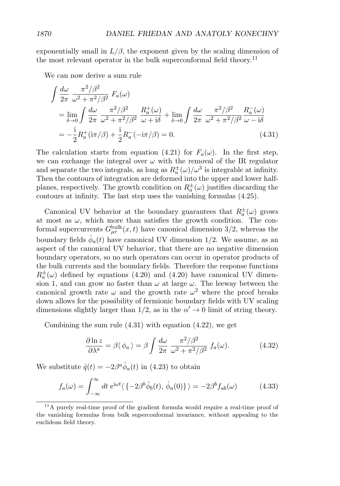exponentially small in  $L/\beta$ , the exponent given by the scaling dimension of the most relevant operator in the bulk superconformal field theory.<sup>11</sup>

We can now derive a sum rule

$$
\int \frac{d\omega}{2\pi} \frac{\pi^2/\beta^2}{\omega^2 + \pi^2/\beta^2} F_a(\omega)
$$
  
= 
$$
\lim_{\delta \to 0} \int \frac{d\omega}{2\pi} \frac{\pi^2/\beta^2}{\omega^2 + \pi^2/\beta^2} \frac{R_a^+(\omega)}{\omega + i\delta} + \lim_{\delta \to 0} \int \frac{d\omega}{2\pi} \frac{\pi^2/\beta^2}{\omega^2 + \pi^2/\beta^2} \frac{R_a^-(\omega)}{\omega - i\delta}
$$
  
= 
$$
-\frac{i}{2} R_a^+(\mathrm{i}\pi/\beta) + \frac{i}{2} R_a^-(\mathrm{-i}\pi/\beta) = 0.
$$
 (4.31)

The calculation starts from equation (4.21) for  $F_a(\omega)$ . In the first step, we can exchange the integral over  $\omega$  with the removal of the IR regulator and separate the two integrals, as long as  $R_a^{\pm}(\omega)/\omega^3$  is integrable at infinity. Then the contours of integration are deformed into the upper and lower halfplanes, respectively. The growth condition on  $R_a^{\pm}(\omega)$  justifies discarding the contours at infinity. The last step uses the vanishing formulas (4.25).

Canonical UV behavior at the boundary guarantees that  $R_a^{\pm}(\omega)$  grows at most as  $\omega$ , which more than satisfies the growth condition. The conformal supercurrents  $G_{\mu r}^{\text{bulk}}(x,t)$  have canonical dimension 3/2, whereas the boundary fields  $\phi_a(t)$  have canonical UV dimension 1/2. We assume, as an aspect of the canonical UV behavior, that there are no negative dimension boundary operators, so no such operators can occur in operator products of the bulk currents and the boundary fields. Therefore the response functions  $R^{\pm}_{a}(\omega)$  defined by equations (4.20) and (4.20) have canonical UV dimension 1, and can grow no faster than  $\omega$  at large  $\omega$ . The leeway between the canonical growth rate  $\omega$  and the growth rate  $\omega^2$  where the proof breaks down allows for the possibility of fermionic boundary fields with UV scaling dimensions slightly larger than  $1/2$ , as in the  $\alpha' \to 0$  limit of string theory.

Combining the sum rule  $(4.31)$  with equation  $(4.22)$ , we get

$$
\frac{\partial \ln z}{\partial \lambda^a} = \beta \langle \phi_a \rangle = \beta \int \frac{d\omega}{2\pi} \frac{\pi^2/\beta^2}{\omega^2 + \pi^2/\beta^2} f_a(\omega). \tag{4.32}
$$

We substitute  $\hat{q}(t) = -2\beta^a \hat{\phi}_a(t)$  in (4.23) to obtain

$$
f_a(\omega) = \int_{-\infty}^{\infty} dt \ e^{i\omega t} \langle \{-2\beta^b \hat{\phi}_b(t), \hat{\phi}_a(0)\} \rangle = -2\beta^b f_{ab}(\omega) \tag{4.33}
$$

<sup>&</sup>lt;sup>11</sup>A purely real-time proof of the gradient formula would require a real-time proof of the vanishing formulas from bulk superconformal invariance, without appealing to the euclidean field theory.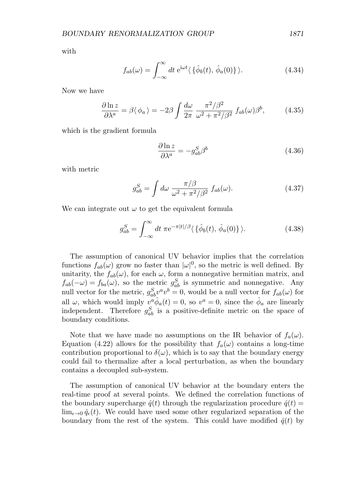with

$$
f_{ab}(\omega) = \int_{-\infty}^{\infty} dt \ e^{i\omega t} \langle \{\hat{\phi}_b(t), \hat{\phi}_a(0)\} \rangle.
$$
 (4.34)

Now we have

$$
\frac{\partial \ln z}{\partial \lambda^a} = \beta \langle \phi_a \rangle = -2\beta \int \frac{d\omega}{2\pi} \frac{\pi^2/\beta^2}{\omega^2 + \pi^2/\beta^2} f_{ab}(\omega) \beta^b, \tag{4.35}
$$

which is the gradient formula

$$
\frac{\partial \ln z}{\partial \lambda^a} = -g_{ab}^S \beta^b \tag{4.36}
$$

with metric

$$
g_{ab}^S = \int d\omega \; \frac{\pi/\beta}{\omega^2 + \pi^2/\beta^2} \; f_{ab}(\omega). \tag{4.37}
$$

We can integrate out  $\omega$  to get the equivalent formula

$$
g_{ab}^S = \int_{-\infty}^{\infty} dt \ \pi e^{-\pi|t|/\beta} \langle \{\hat{\phi}_b(t), \hat{\phi}_a(0)\} \rangle.
$$
 (4.38)

The assumption of canonical UV behavior implies that the correlation functions  $f_{ab}(\omega)$  grow no faster than  $|\omega|^0$ , so the metric is well defined. By unitarity, the  $f_{ab}(\omega)$ , for each  $\omega$ , form a nonnegative hermitian matrix, and  $f_{ab}(-\omega) = f_{ba}(\omega)$ , so the metric  $g_{ab}^S$  is symmetric and nonnegative. Any null vector for the metric,  $g_{ab}^S v^a v^b = 0$ , would be a null vector for  $f_{ab}(\omega)$  for all  $\omega$ , which would imply  $v^a \hat{\phi}_a(t) = 0$ , so  $v^a = 0$ , since the  $\hat{\phi}_a$  are linearly independent. Therefore  $g_{ab}^S$  is a positive-definite metric on the space of boundary conditions.

Note that we have made no assumptions on the IR behavior of  $f_a(\omega)$ . Equation (4.22) allows for the possibility that  $f_a(\omega)$  contains a long-time contribution proportional to  $\delta(\omega)$ , which is to say that the boundary energy could fail to thermalize after a local perturbation, as when the boundary contains a decoupled sub-system.

The assumption of canonical UV behavior at the boundary enters the real-time proof at several points. We defined the correlation functions of the boundary supercharge  $\hat{q}(t)$  through the regularization procedure  $\hat{q}(t)$  =  $\lim_{\epsilon \to 0} \hat{q}_{\epsilon}(t)$ . We could have used some other regularized separation of the boundary from the rest of the system. This could have modified  $\hat{q}(t)$  by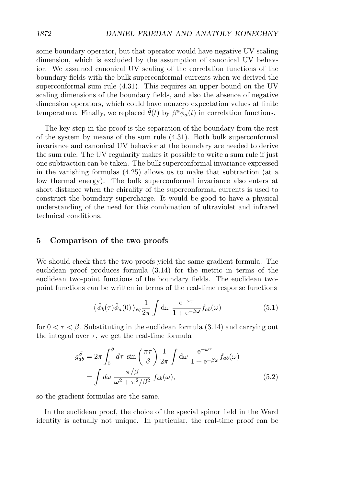some boundary operator, but that operator would have negative UV scaling dimension, which is excluded by the assumption of canonical UV behavior. We assumed canonical UV scaling of the correlation functions of the boundary fields with the bulk superconformal currents when we derived the superconformal sum rule (4.31). This requires an upper bound on the UV scaling dimensions of the boundary fields, and also the absence of negative dimension operators, which could have nonzero expectation values at finite temperature. Finally, we replaced  $\hat{\theta}(t)$  by  $\beta^a \hat{\phi}_a(t)$  in correlation functions.

The key step in the proof is the separation of the boundary from the rest of the system by means of the sum rule (4.31). Both bulk superconformal invariance and canonical UV behavior at the boundary are needed to derive the sum rule. The UV regularity makes it possible to write a sum rule if just one subtraction can be taken. The bulk superconformal invariance expressed in the vanishing formulas (4.25) allows us to make that subtraction (at a low thermal energy). The bulk superconformal invariance also enters at short distance when the chirality of the superconformal currents is used to construct the boundary supercharge. It would be good to have a physical understanding of the need for this combination of ultraviolet and infrared technical conditions.

# **5 Comparison of the two proofs**

We should check that the two proofs yield the same gradient formula. The euclidean proof produces formula (3.14) for the metric in terms of the euclidean two-point functions of the boundary fields. The euclidean twopoint functions can be written in terms of the real-time response functions

$$
\langle \hat{\phi}_b(\tau) \hat{\phi}_a(0) \rangle_{eq} \frac{1}{2\pi} \int d\omega \frac{e^{-\omega \tau}}{1 + e^{-\beta \omega}} f_{ab}(\omega) \tag{5.1}
$$

for  $0 < \tau < \beta$ . Substituting in the euclidean formula (3.14) and carrying out the integral over  $\tau$ , we get the real-time formula

$$
g_{ab}^S = 2\pi \int_0^\beta d\tau \sin\left(\frac{\pi\tau}{\beta}\right) \frac{1}{2\pi} \int d\omega \frac{e^{-\omega\tau}}{1 + e^{-\beta\omega}} f_{ab}(\omega)
$$

$$
= \int d\omega \frac{\pi/\beta}{\omega^2 + \pi^2/\beta^2} f_{ab}(\omega), \tag{5.2}
$$

so the gradient formulas are the same.

In the euclidean proof, the choice of the special spinor field in the Ward identity is actually not unique. In particular, the real-time proof can be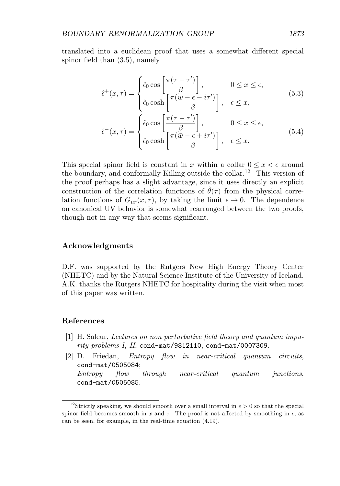translated into a euclidean proof that uses a somewhat different special spinor field than (3.5), namely

$$
\hat{\epsilon}^+(x,\tau) = \begin{cases} \hat{\epsilon}_0 \cos\left[\frac{\pi(\tau-\tau')}{\beta}\right], & 0 \le x \le \epsilon, \\ \hat{\epsilon}_0 \cosh\left[\frac{\pi(w-\epsilon-i\tau')}{\beta}\right], & \epsilon \le x, \end{cases}
$$
(5.3)

$$
\hat{\epsilon}^-(x,\tau) = \begin{cases} \hat{\epsilon}_0 \cos\left[\frac{\pi(\tau-\tau')}{\beta}\right], & 0 \le x \le \epsilon, \\ \hat{\epsilon}_0 \cosh\left[\frac{\pi(\bar{w}-\epsilon+i\tau')}{\beta}\right], & \epsilon \le x. \end{cases}
$$
(5.4)

This special spinor field is constant in x within a collar  $0 \leq x < \epsilon$  around the boundary, and conformally Killing outside the collar.<sup>12</sup> This version of the proof perhaps has a slight advantage, since it uses directly an explicit construction of the correlation functions of  $\theta(\tau)$  from the physical correlation functions of  $G_{\mu\nu}(x,\tau)$ , by taking the limit  $\epsilon \to 0$ . The dependence on canonical UV behavior is somewhat rearranged between the two proofs, though not in any way that seems significant.

## **Acknowledgments**

D.F. was supported by the Rutgers New High Energy Theory Center (NHETC) and by the Natural Science Institute of the University of Iceland. A.K. thanks the Rutgers NHETC for hospitality during the visit when most of this paper was written.

## **References**

- [1] H. Saleur, Lectures on non perturbative field theory and quantum impurity problems I, II, cond-mat/9812110, cond-mat/0007309.
- [2] D. Friedan, Entropy flow in near-critical quantum circuits, cond-mat/0505084; Entropy flow through near-critical quantum junctions, cond-mat/0505085.

<sup>&</sup>lt;sup>12</sup>Strictly speaking, we should smooth over a small interval in  $\epsilon > 0$  so that the special spinor field becomes smooth in x and  $\tau$ . The proof is not affected by smoothing in  $\epsilon$ , as can be seen, for example, in the real-time equation (4.19).